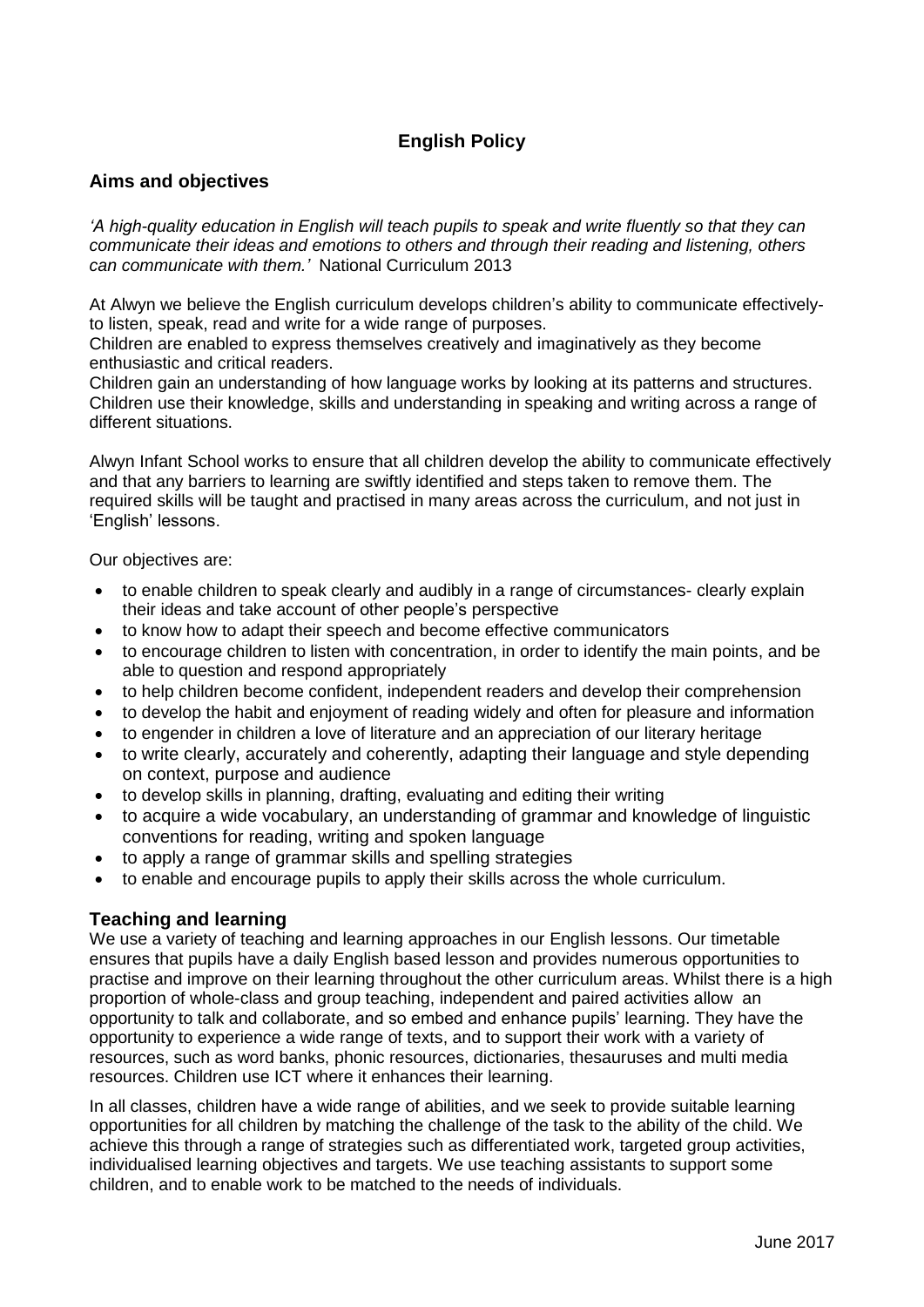# **English Policy**

#### **Aims and objectives**

*'A high-quality education in English will teach pupils to speak and write fluently so that they can communicate their ideas and emotions to others and through their reading and listening, others can communicate with them.'* National Curriculum 2013

At Alwyn we believe the English curriculum develops children's ability to communicate effectivelyto listen, speak, read and write for a wide range of purposes.

Children are enabled to express themselves creatively and imaginatively as they become enthusiastic and critical readers.

Children gain an understanding of how language works by looking at its patterns and structures. Children use their knowledge, skills and understanding in speaking and writing across a range of different situations.

Alwyn Infant School works to ensure that all children develop the ability to communicate effectively and that any barriers to learning are swiftly identified and steps taken to remove them. The required skills will be taught and practised in many areas across the curriculum, and not just in 'English' lessons.

Our objectives are:

- to enable children to speak clearly and audibly in a range of circumstances- clearly explain their ideas and take account of other people's perspective
- to know how to adapt their speech and become effective communicators
- to encourage children to listen with concentration, in order to identify the main points, and be able to question and respond appropriately
- to help children become confident, independent readers and develop their comprehension
- to develop the habit and enjoyment of reading widely and often for pleasure and information
- to engender in children a love of literature and an appreciation of our literary heritage
- to write clearly, accurately and coherently, adapting their language and style depending on context, purpose and audience
- to develop skills in planning, drafting, evaluating and editing their writing
- to acquire a wide vocabulary, an understanding of grammar and knowledge of linguistic conventions for reading, writing and spoken language
- to apply a range of grammar skills and spelling strategies
- to enable and encourage pupils to apply their skills across the whole curriculum.

#### **Teaching and learning**

We use a variety of teaching and learning approaches in our English lessons. Our timetable ensures that pupils have a daily English based lesson and provides numerous opportunities to practise and improve on their learning throughout the other curriculum areas. Whilst there is a high proportion of whole-class and group teaching, independent and paired activities allow an opportunity to talk and collaborate, and so embed and enhance pupils' learning. They have the opportunity to experience a wide range of texts, and to support their work with a variety of resources, such as word banks, phonic resources, dictionaries, thesauruses and multi media resources. Children use ICT where it enhances their learning.

In all classes, children have a wide range of abilities, and we seek to provide suitable learning opportunities for all children by matching the challenge of the task to the ability of the child. We achieve this through a range of strategies such as differentiated work, targeted group activities, individualised learning objectives and targets. We use teaching assistants to support some children, and to enable work to be matched to the needs of individuals.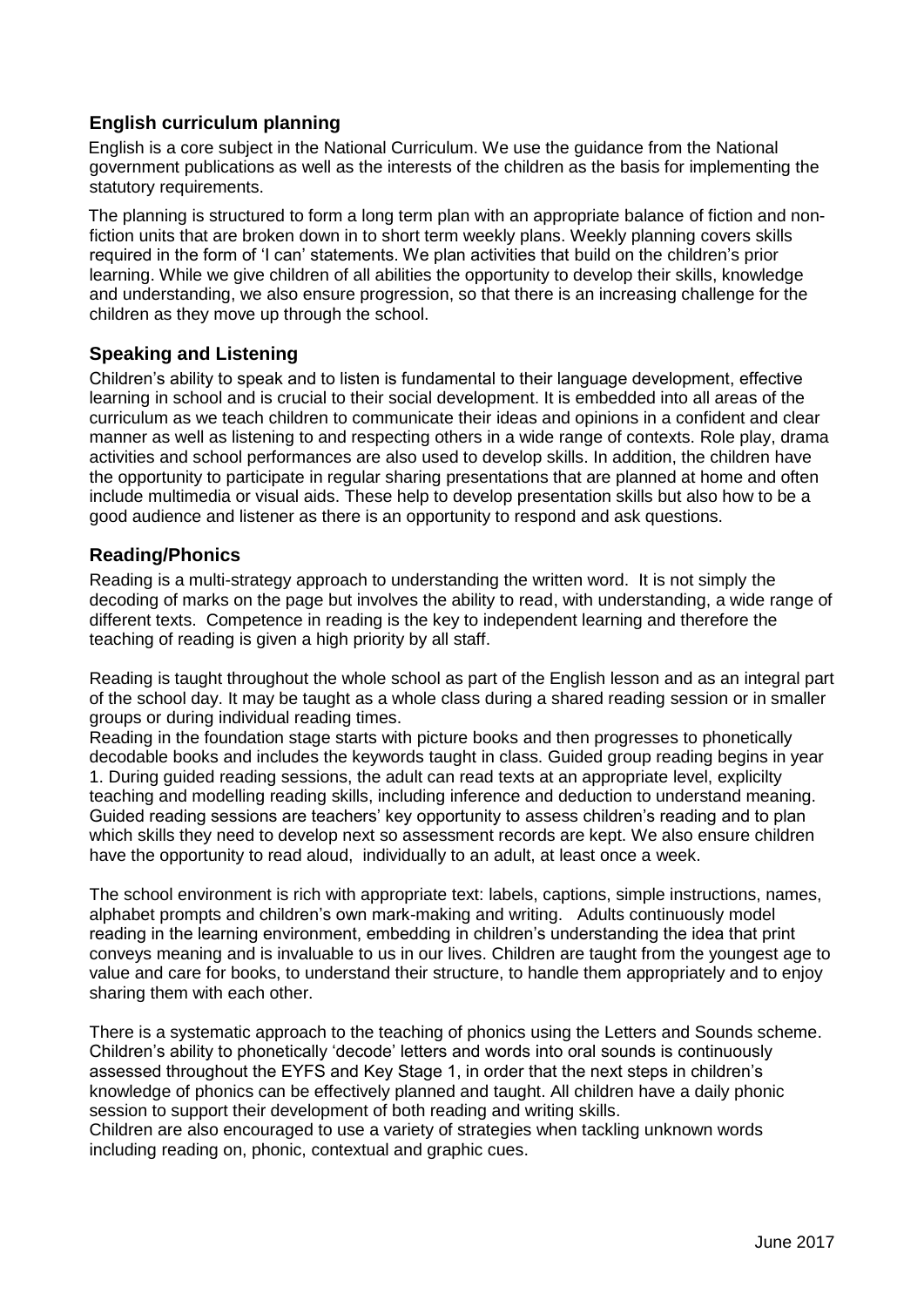## **English curriculum planning**

English is a core subject in the National Curriculum. We use the guidance from the National government publications as well as the interests of the children as the basis for implementing the statutory requirements.

The planning is structured to form a long term plan with an appropriate balance of fiction and nonfiction units that are broken down in to short term weekly plans. Weekly planning covers skills required in the form of 'I can' statements. We plan activities that build on the children's prior learning. While we give children of all abilities the opportunity to develop their skills, knowledge and understanding, we also ensure progression, so that there is an increasing challenge for the children as they move up through the school.

## **Speaking and Listening**

Children's ability to speak and to listen is fundamental to their language development, effective learning in school and is crucial to their social development. It is embedded into all areas of the curriculum as we teach children to communicate their ideas and opinions in a confident and clear manner as well as listening to and respecting others in a wide range of contexts. Role play, drama activities and school performances are also used to develop skills. In addition, the children have the opportunity to participate in regular sharing presentations that are planned at home and often include multimedia or visual aids. These help to develop presentation skills but also how to be a good audience and listener as there is an opportunity to respond and ask questions.

## **Reading/Phonics**

Reading is a multi-strategy approach to understanding the written word. It is not simply the decoding of marks on the page but involves the ability to read, with understanding, a wide range of different texts. Competence in reading is the key to independent learning and therefore the teaching of reading is given a high priority by all staff.

Reading is taught throughout the whole school as part of the English lesson and as an integral part of the school day. It may be taught as a whole class during a shared reading session or in smaller groups or during individual reading times.

Reading in the foundation stage starts with picture books and then progresses to phonetically decodable books and includes the keywords taught in class. Guided group reading begins in year 1. During guided reading sessions, the adult can read texts at an appropriate level, explicilty teaching and modelling reading skills, including inference and deduction to understand meaning. Guided reading sessions are teachers' key opportunity to assess children's reading and to plan which skills they need to develop next so assessment records are kept. We also ensure children have the opportunity to read aloud, individually to an adult, at least once a week.

The school environment is rich with appropriate text: labels, captions, simple instructions, names, alphabet prompts and children's own mark-making and writing. Adults continuously model reading in the learning environment, embedding in children's understanding the idea that print conveys meaning and is invaluable to us in our lives. Children are taught from the youngest age to value and care for books, to understand their structure, to handle them appropriately and to enjoy sharing them with each other.

There is a systematic approach to the teaching of phonics using the Letters and Sounds scheme. Children's ability to phonetically 'decode' letters and words into oral sounds is continuously assessed throughout the EYFS and Key Stage 1, in order that the next steps in children's knowledge of phonics can be effectively planned and taught. All children have a daily phonic session to support their development of both reading and writing skills. Children are also encouraged to use a variety of strategies when tackling unknown words including reading on, phonic, contextual and graphic cues.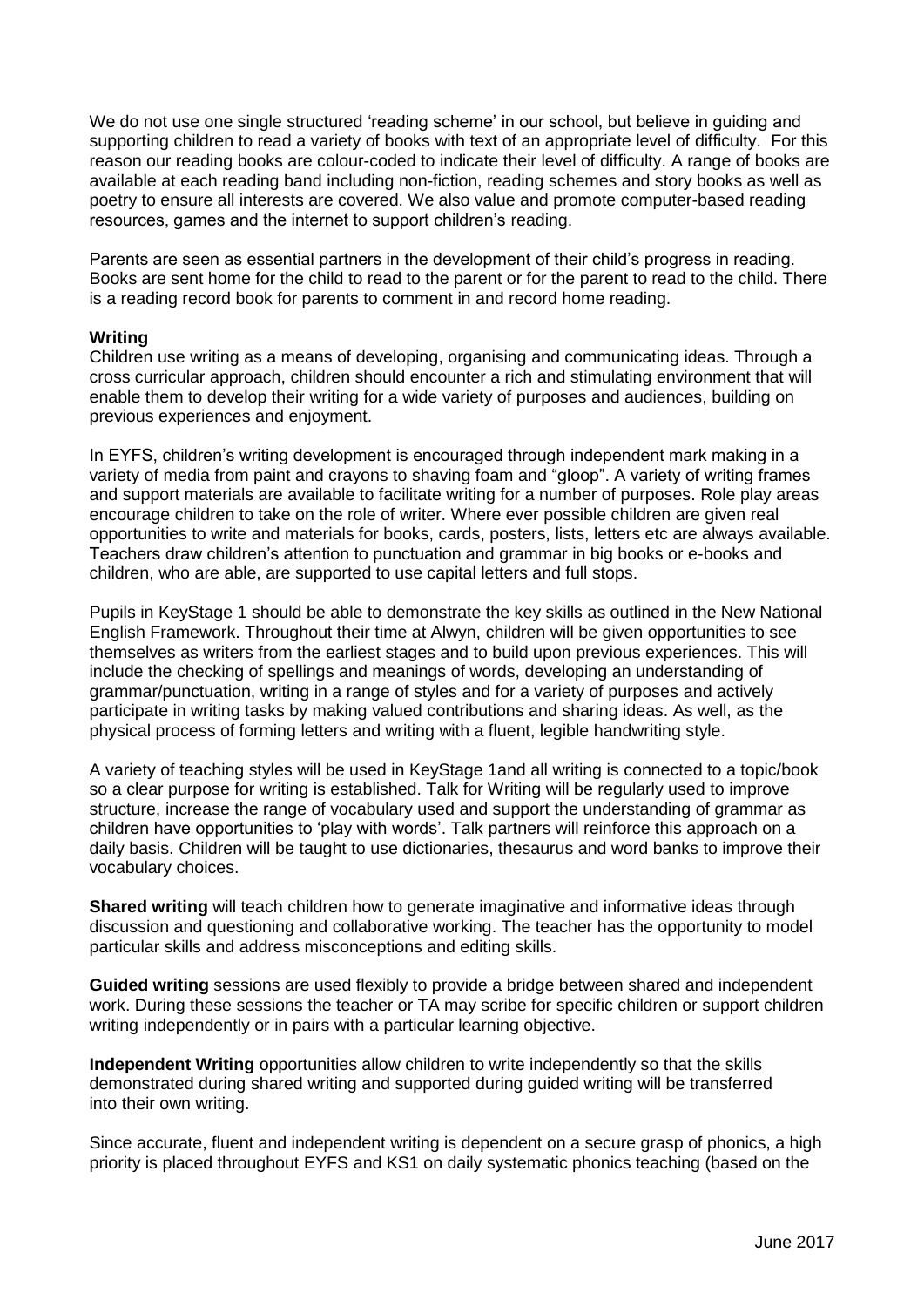We do not use one single structured 'reading scheme' in our school, but believe in quiding and supporting children to read a variety of books with text of an appropriate level of difficulty. For this reason our reading books are colour-coded to indicate their level of difficulty. A range of books are available at each reading band including non-fiction, reading schemes and story books as well as poetry to ensure all interests are covered. We also value and promote computer-based reading resources, games and the internet to support children's reading.

Parents are seen as essential partners in the development of their child's progress in reading. Books are sent home for the child to read to the parent or for the parent to read to the child. There is a reading record book for parents to comment in and record home reading.

#### **Writing**

Children use writing as a means of developing, organising and communicating ideas. Through a cross curricular approach, children should encounter a rich and stimulating environment that will enable them to develop their writing for a wide variety of purposes and audiences, building on previous experiences and enjoyment.

In EYFS, children's writing development is encouraged through independent mark making in a variety of media from paint and crayons to shaving foam and "gloop". A variety of writing frames and support materials are available to facilitate writing for a number of purposes. Role play areas encourage children to take on the role of writer. Where ever possible children are given real opportunities to write and materials for books, cards, posters, lists, letters etc are always available. Teachers draw children's attention to punctuation and grammar in big books or e-books and children, who are able, are supported to use capital letters and full stops.

Pupils in KeyStage 1 should be able to demonstrate the key skills as outlined in the New National English Framework. Throughout their time at Alwyn, children will be given opportunities to see themselves as writers from the earliest stages and to build upon previous experiences. This will include the checking of spellings and meanings of words, developing an understanding of grammar/punctuation, writing in a range of styles and for a variety of purposes and actively participate in writing tasks by making valued contributions and sharing ideas. As well, as the physical process of forming letters and writing with a fluent, legible handwriting style.

A variety of teaching styles will be used in KeyStage 1and all writing is connected to a topic/book so a clear purpose for writing is established. Talk for Writing will be regularly used to improve structure, increase the range of vocabulary used and support the understanding of grammar as children have opportunities to 'play with words'. Talk partners will reinforce this approach on a daily basis. Children will be taught to use dictionaries, thesaurus and word banks to improve their vocabulary choices.

**Shared writing** will teach children how to generate imaginative and informative ideas through discussion and questioning and collaborative working. The teacher has the opportunity to model particular skills and address misconceptions and editing skills.

**Guided writing** sessions are used flexibly to provide a bridge between shared and independent work. During these sessions the teacher or TA may scribe for specific children or support children writing independently or in pairs with a particular learning objective.

**Independent Writing** opportunities allow children to write independently so that the skills demonstrated during shared writing and supported during guided writing will be transferred into their own writing.

Since accurate, fluent and independent writing is dependent on a secure grasp of phonics, a high priority is placed throughout EYFS and KS1 on daily systematic phonics teaching (based on the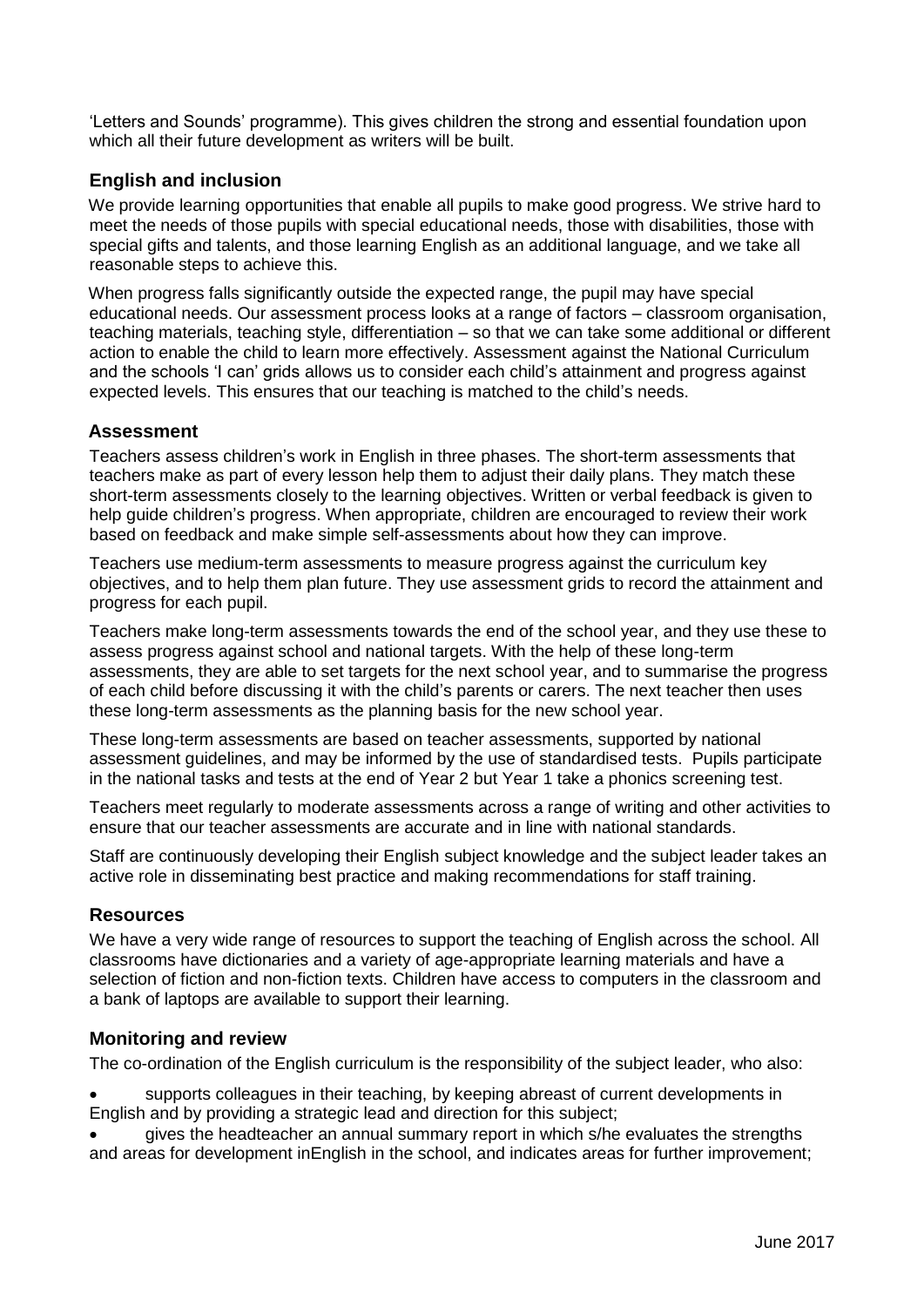'Letters and Sounds' programme). This gives children the strong and essential foundation upon which all their future development as writers will be built.

## **English and inclusion**

We provide learning opportunities that enable all pupils to make good progress. We strive hard to meet the needs of those pupils with special educational needs, those with disabilities, those with special gifts and talents, and those learning English as an additional language, and we take all reasonable steps to achieve this.

When progress falls significantly outside the expected range, the pupil may have special educational needs. Our assessment process looks at a range of factors – classroom organisation, teaching materials, teaching style, differentiation – so that we can take some additional or different action to enable the child to learn more effectively. Assessment against the National Curriculum and the schools 'I can' grids allows us to consider each child's attainment and progress against expected levels. This ensures that our teaching is matched to the child's needs.

#### **Assessment**

Teachers assess children's work in English in three phases. The short-term assessments that teachers make as part of every lesson help them to adjust their daily plans. They match these short-term assessments closely to the learning objectives. Written or verbal feedback is given to help guide children's progress. When appropriate, children are encouraged to review their work based on feedback and make simple self-assessments about how they can improve.

Teachers use medium-term assessments to measure progress against the curriculum key objectives, and to help them plan future. They use assessment grids to record the attainment and progress for each pupil.

Teachers make long-term assessments towards the end of the school year, and they use these to assess progress against school and national targets. With the help of these long-term assessments, they are able to set targets for the next school year, and to summarise the progress of each child before discussing it with the child's parents or carers. The next teacher then uses these long-term assessments as the planning basis for the new school year.

These long-term assessments are based on teacher assessments, supported by national assessment guidelines, and may be informed by the use of standardised tests. Pupils participate in the national tasks and tests at the end of Year 2 but Year 1 take a phonics screening test.

Teachers meet regularly to moderate assessments across a range of writing and other activities to ensure that our teacher assessments are accurate and in line with national standards.

Staff are continuously developing their English subject knowledge and the subject leader takes an active role in disseminating best practice and making recommendations for staff training.

#### **Resources**

We have a very wide range of resources to support the teaching of English across the school. All classrooms have dictionaries and a variety of age-appropriate learning materials and have a selection of fiction and non-fiction texts. Children have access to computers in the classroom and a bank of laptops are available to support their learning.

#### **Monitoring and review**

The co-ordination of the English curriculum is the responsibility of the subject leader, who also:

 supports colleagues in their teaching, by keeping abreast of current developments in English and by providing a strategic lead and direction for this subject;

 gives the headteacher an annual summary report in which s/he evaluates the strengths and areas for development inEnglish in the school, and indicates areas for further improvement;